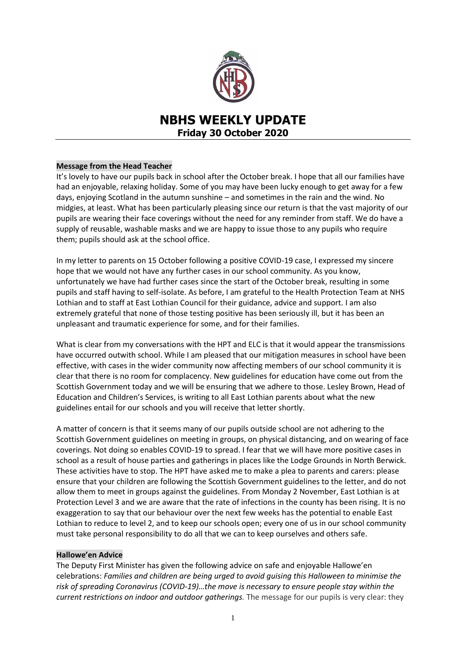

# **NBHS WEEKLY UPDATE Friday 30 October 2020**

#### **Message from the Head Teacher**

It's lovely to have our pupils back in school after the October break. I hope that all our families have had an enjoyable, relaxing holiday. Some of you may have been lucky enough to get away for a few days, enjoying Scotland in the autumn sunshine – and sometimes in the rain and the wind. No midgies, at least. What has been particularly pleasing since our return is that the vast majority of our pupils are wearing their face coverings without the need for any reminder from staff. We do have a supply of reusable, washable masks and we are happy to issue those to any pupils who require them; pupils should ask at the school office.

In my letter to parents on 15 October following a positive COVID-19 case, I expressed my sincere hope that we would not have any further cases in our school community. As you know, unfortunately we have had further cases since the start of the October break, resulting in some pupils and staff having to self-isolate. As before, I am grateful to the Health Protection Team at NHS Lothian and to staff at East Lothian Council for their guidance, advice and support. I am also extremely grateful that none of those testing positive has been seriously ill, but it has been an unpleasant and traumatic experience for some, and for their families.

What is clear from my conversations with the HPT and ELC is that it would appear the transmissions have occurred outwith school. While I am pleased that our mitigation measures in school have been effective, with cases in the wider community now affecting members of our school community it is clear that there is no room for complacency. New guidelines for education have come out from the Scottish Government today and we will be ensuring that we adhere to those. Lesley Brown, Head of Education and Children's Services, is writing to all East Lothian parents about what the new guidelines entail for our schools and you will receive that letter shortly.

A matter of concern is that it seems many of our pupils outside school are not adhering to the Scottish Government guidelines on meeting in groups, on physical distancing, and on wearing of face coverings. Not doing so enables COVID-19 to spread. I fear that we will have more positive cases in school as a result of house parties and gatherings in places like the Lodge Grounds in North Berwick. These activities have to stop. The HPT have asked me to make a plea to parents and carers: please ensure that your children are following the Scottish Government guidelines to the letter, and do not allow them to meet in groups against the guidelines. From Monday 2 November, East Lothian is at Protection Level 3 and we are aware that the rate of infections in the county has been rising. It is no exaggeration to say that our behaviour over the next few weeks has the potential to enable East Lothian to reduce to level 2, and to keep our schools open; every one of us in our school community must take personal responsibility to do all that we can to keep ourselves and others safe.

#### **Hallowe'en Advice**

The Deputy First Minister has given the following advice on safe and enjoyable Hallowe'en celebrations: *Families and children are being urged to avoid guising this Halloween to minimise the risk of spreading Coronavirus (COVID-19)…the move is necessary to ensure people stay within the current restrictions on indoor and outdoor gatherings.* The message for our pupils is very clear: they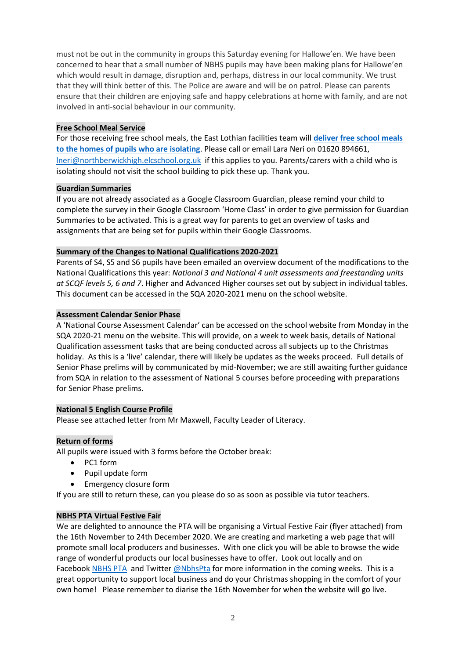must not be out in the community in groups this Saturday evening for Hallowe'en. We have been concerned to hear that a small number of NBHS pupils may have been making plans for Hallowe'en which would result in damage, disruption and, perhaps, distress in our local community. We trust that they will think better of this. The Police are aware and will be on patrol. Please can parents ensure that their children are enjoying safe and happy celebrations at home with family, and are not involved in anti-social behaviour in our community.

#### **Free School Meal Service**

For those receiving free school meals, the East Lothian facilities team will **[deliver free school meals](https://www.edubuzz.org/northberwickhigh/) [to the homes of pupils who are isolating](https://www.edubuzz.org/northberwickhigh/)**. Please call or email Lara Neri on 01620 894661, [lneri@northberwickhigh.elcschool.org.uk](mailto:lneri@northberwickhigh.elcschool.org.uk) if this applies to you. Parents/carers with a child who is isolating should not visit the school building to pick these up. Thank you.

### **Guardian Summaries**

If you are not already associated as a Google Classroom Guardian, please remind your child to complete the survey in their Google Classroom 'Home Class' in order to give permission for Guardian Summaries to be activated. This is a great way for parents to get an overview of tasks and assignments that are being set for pupils within their Google Classrooms.

## **Summary of the Changes to National Qualifications 2020-2021**

Parents of S4, S5 and S6 pupils have been emailed an overview document of the modifications to the National Qualifications this year: *National 3 and National 4 unit assessments and freestanding units at SCQF levels 5, 6 and 7*. Higher and Advanced Higher courses set out by subject in individual tables. This document can be accessed in the SQA 2020-2021 menu on the school website.

### **Assessment Calendar Senior Phase**

A 'National Course Assessment Calendar' can be accessed on the school website from Monday in the SQA 2020-21 menu on the website. This will provide, on a week to week basis, details of National Qualification assessment tasks that are being conducted across all subjects up to the Christmas holiday. As this is a 'live' calendar, there will likely be updates as the weeks proceed. Full details of Senior Phase prelims will by communicated by mid-November; we are still awaiting further guidance from SQA in relation to the assessment of National 5 courses before proceeding with preparations for Senior Phase prelims.

## **National 5 English Course Profile**

Please see attached letter from Mr Maxwell, Faculty Leader of Literacy.

#### **Return of forms**

All pupils were issued with 3 forms before the October break:

- PC1 form
- Pupil update form
- **•** Emergency closure form

If you are still to return these, can you please do so as soon as possible via tutor teachers.

## **NBHS PTA Virtual Festive Fair**

We are delighted to announce the PTA will be organising a Virtual Festive Fair (flyer attached) from the 16th November to 24th December 2020. We are creating and marketing a web page that will promote small local producers and businesses. With one click you will be able to browse the wide range of wonderful products our local businesses have to offer. Look out locally and on Facebook [NBHS PTA](https://www.facebook.com/nbhs.pta/?ref=bookmarks) and Twitter [@NbhsPta](https://twitter.com/NbhsPta) for more information in the coming weeks. This is a great opportunity to support local business and do your Christmas shopping in the comfort of your own home! Please remember to diarise the 16th November for when the website will go live.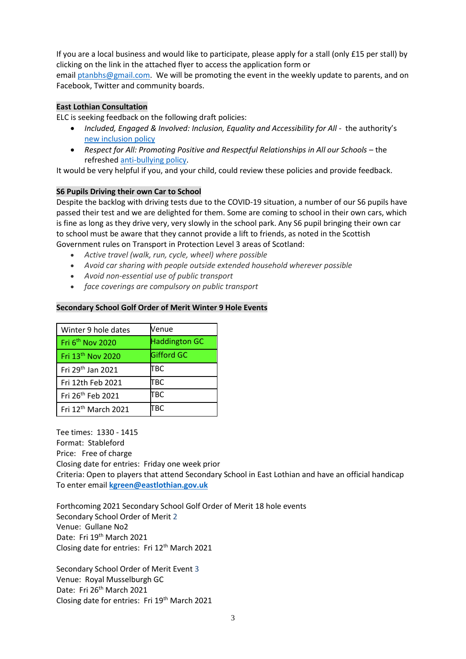If you are a local business and would like to participate, please apply for a stall (only £15 per stall) by clicking on the link in the attached flyer to access the application form or

email [ptanbhs@gmail.com.](mailto:ptanbhs@gmail.com) We will be promoting the event in the weekly update to parents, and on Facebook, Twitter and community boards.

### **East Lothian Consultation**

ELC is seeking feedback on the following draft policies:

- Included, Engaged & Involved: Inclusion, Equality and Accessibility for All the authority's [new inclusion policy](https://eastlothianconsultations.co.uk/education/anti-bullying-policy)
- *Respect for All: Promoting Positive and Respectful Relationships in All our Schools* the refreshed [anti-bullying policy.](https://eastlothianconsultations.co.uk/education/inclusion-equality-accessibility)

It would be very helpful if you, and your child, could review these policies and provide feedback.

### **S6 Pupils Driving their own Car to School**

Despite the backlog with driving tests due to the COVID-19 situation, a number of our S6 pupils have passed their test and we are delighted for them. Some are coming to school in their own cars, which is fine as long as they drive very, very slowly in the school park. Any S6 pupil bringing their own car to school must be aware that they cannot provide a lift to friends, as noted in the Scottish Government rules on Transport in Protection Level 3 areas of Scotland:

- *Active travel (walk, run, cycle, wheel) where possible*
- *Avoid car sharing with people outside extended household wherever possible*
- *Avoid non-essential use of public transport*
- *face coverings are compulsory on public transport*

## **Secondary School Golf Order of Merit Winter 9 Hole Events**

| Winter 9 hole dates             | Venue                |
|---------------------------------|----------------------|
| Fri 6 <sup>th</sup> Nov 2020    | <b>Haddington GC</b> |
| Fri 13 <sup>th</sup> Nov 2020   | <b>Gifford GC</b>    |
| Fri 29th Jan 2021               | ТВС                  |
| Fri 12th Feb 2021               | ТВС                  |
| Fri 26 <sup>th</sup> Feb 2021   | TBC                  |
| Fri 12 <sup>th</sup> March 2021 | ГВС                  |

Tee times: 1330 - 1415 Format: Stableford Price: Free of charge Closing date for entries: Friday one week prior Criteria: Open to players that attend Secondary School in East Lothian and have an official handicap To enter email **[kgreen@eastlothian.gov.uk](mailto:kgreen@eastlothian.gov.uk)**

Forthcoming 2021 Secondary School Golf Order of Merit 18 hole events Secondary School Order of Merit 2 Venue: Gullane No2 Date: Fri 19<sup>th</sup> March 2021 Closing date for entries: Fri 12th March 2021

Secondary School Order of Merit Event 3 Venue: Royal Musselburgh GC Date: Fri 26<sup>th</sup> March 2021 Closing date for entries: Fri 19<sup>th</sup> March 2021